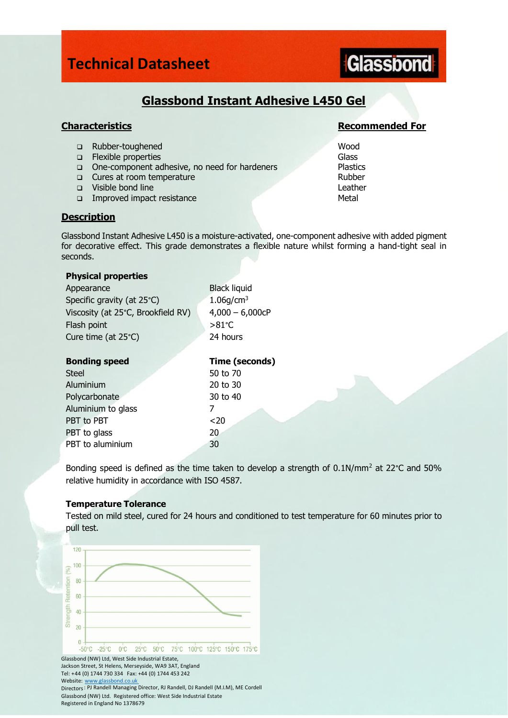### **Technical Datasheet**

# Glassbond

### **Glassbond Instant Adhesive L450 Gel**

- ❑ Rubber-toughened Wood
- ❑ Flexible properties Glass
- ❑ One-component adhesive, no need for hardeners Plastics
- ❑ Cures at room temperature Rubber
- ❑ Visible bond line Leather
- □ Improved impact resistance Metal

### **Description**

Glassbond Instant Adhesive L450 is a moisture-activated, one-component adhesive with added pigment for decorative effect. This grade demonstrates a flexible nature whilst forming a hand-tight seal in seconds.

### **Physical properties**

Appearance Black liquid Specific gravity (at  $25^{\circ}$ C) 1.06g/cm<sup>3</sup> Viscosity (at  $25^{\circ}$ C, Brookfield RV)  $4,000 - 6,000$ cP Flash point  $>81^{\circ}$ C Cure time (at 25°C) 24 hours

| <b>Bonding speed</b> | Time (seconds) |
|----------------------|----------------|
| <b>Steel</b>         | 50 to 70       |
| Aluminium            | 20 to 30       |
| Polycarbonate        | 30 to 40       |
| Aluminium to glass   |                |
| PBT to PBT           | $20$           |
| PBT to glass         | 20             |
| PBT to aluminium     | 30             |

Bonding speed is defined as the time taken to develop a strength of  $0.1N/mm^2$  at 22°C and 50% relative humidity in accordance with ISO 4587.

### **Temperature Tolerance**

Tested on mild steel, cured for 24 hours and conditioned to test temperature for 60 minutes prior to pull test.



### **Characteristics Recommended For**